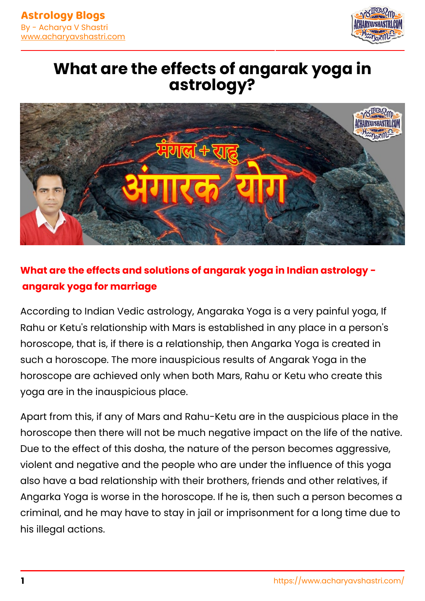

## **What are the effects of angarak yoga in astrology?**



## **What are the effects and solutions of angarak yoga in Indian astrology angarak yoga for marriage**

According to Indian Vedic astrology, Angaraka Yoga is a very painful yoga, If Rahu or Ketu's relationship with Mars is established in any place in a person's horoscope, that is, if there is a relationship, then Angarka Yoga is created in such a horoscope. The more inauspicious results of Angarak Yoga in the horoscope are achieved only when both Mars, Rahu or Ketu who create this yoga are in the inauspicious place.

Apart from this, if any of Mars and Rahu-Ketu are in the auspicious place in the horoscope then there will not be much negative impact on the life of the native. Due to the effect of this dosha, the nature of the person becomes aggressive, violent and negative and the people who are under the influence of this yoga also have a bad relationship with their brothers, friends and other relatives, if Angarka Yoga is worse in the horoscope. If he is, then such a person becomes a criminal, and he may have to stay in jail or imprisonment for a long time due to his illegal actions.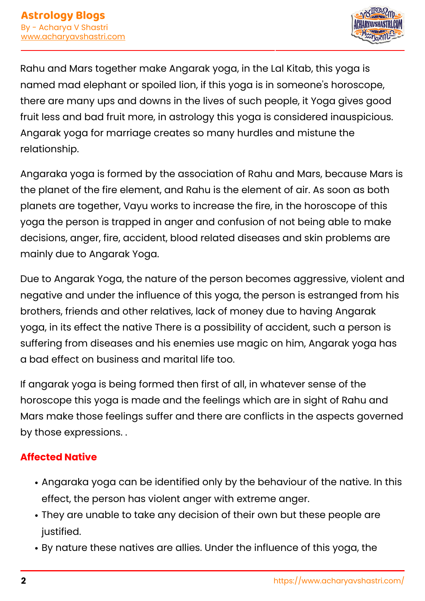

Rahu and Mars together make Angarak yoga, in the Lal Kitab, this yoga is named mad elephant or spoiled lion, if this yoga is in someone's horoscope, there are many ups and downs in the lives of such people, it Yoga gives good fruit less and bad fruit more, in astrology this yoga is considered inauspicious. Angarak yoga for marriage creates so many hurdles and mistune the relationship.

Angaraka yoga is formed by the association of Rahu and Mars, because Mars is the planet of the fire element, and Rahu is the element of air. As soon as both planets are together, Vayu works to increase the fire, in the horoscope of this yoga the person is trapped in anger and confusion of not being able to make decisions, anger, fire, accident, blood related diseases and skin problems are mainly due to Angarak Yoga.

Due to Angarak Yoga, the nature of the person becomes aggressive, violent and negative and under the influence of this yoga, the person is estranged from his brothers, friends and other relatives, lack of money due to having Angarak yoga, in its effect the native There is a possibility of accident, such a person is suffering from diseases and his enemies use magic on him, Angarak yoga has a bad effect on business and marital life too.

If angarak yoga is being formed then first of all, in whatever sense of the horoscope this yoga is made and the feelings which are in sight of Rahu and Mars make those feelings suffer and there are conflicts in the aspects governed by those expressions. .

### **Affected Native**

- Angaraka yoga can be identified only by the behaviour of the native. In this effect, the person has violent anger with extreme anger.
- They are unable to take any decision of their own but these people are justified.
- By nature these natives are allies. Under the influence of this yoga, the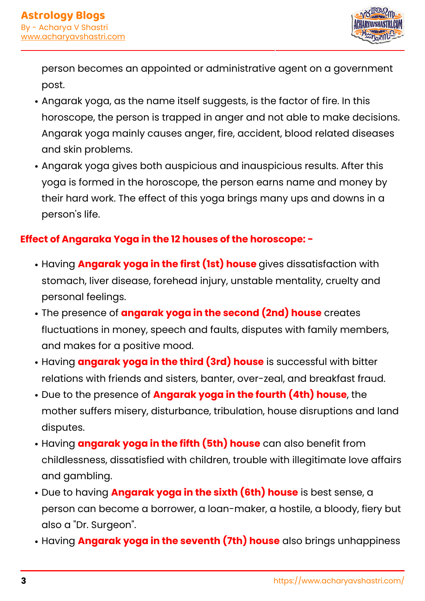

person becomes an appointed or administrative agent on a government post.

- Angarak yoga, as the name itself suggests, is the factor of fire. In this horoscope, the person is trapped in anger and not able to make decisions. Angarak yoga mainly causes anger, fire, accident, blood related diseases and skin problems.
- Angarak yoga gives both auspicious and inauspicious results. After this yoga is formed in the horoscope, the person earns name and money by their hard work. The effect of this yoga brings many ups and downs in a person's life.

#### **Effect of Angaraka Yoga in the 12 houses of the horoscope: -**

- Having **Angarak yoga in the first (1st) house** gives dissatisfaction with stomach, liver disease, forehead injury, unstable mentality, cruelty and personal feelings.
- The presence of **angarak yoga in the second (2nd) house** creates fluctuations in money, speech and faults, disputes with family members, and makes for a positive mood.
- Having **angarak yoga in the third (3rd) house** is successful with bitter relations with friends and sisters, banter, over-zeal, and breakfast fraud.
- Due to the presence of **Angarak yoga in the fourth (4th) house**, the mother suffers misery, disturbance, tribulation, house disruptions and land disputes.
- Having **angarak yoga in the fifth (5th) house** can also benefit from childlessness, dissatisfied with children, trouble with illegitimate love affairs and gambling.
- Due to having **Angarak yoga in the sixth (6th) house** is best sense, a person can become a borrower, a loan-maker, a hostile, a bloody, fiery but also a "Dr. Surgeon".
- Having **Angarak yoga in the seventh (7th) house** also brings unhappiness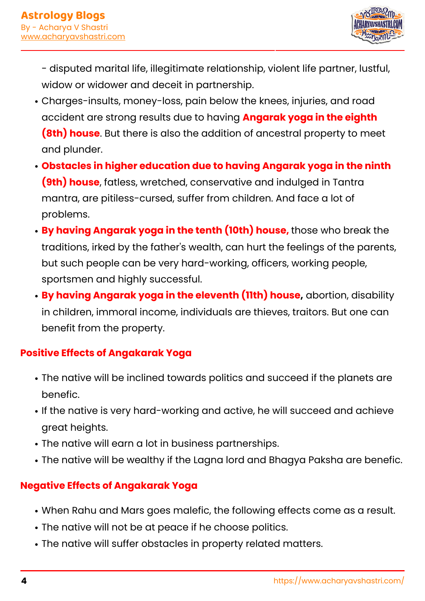

- disputed marital life, illegitimate relationship, violent life partner, lustful, widow or widower and deceit in partnership.

- Charges-insults, money-loss, pain below the knees, injuries, and road accident are strong results due to having **Angarak yoga in the eighth (8th) house**. But there is also the addition of ancestral property to meet and plunder.
- **Obstacles in higher education due to having Angarak yoga in the ninth (9th) house**, fatless, wretched, conservative and indulged in Tantra mantra, are pitiless-cursed, suffer from children. And face a lot of problems.
- **By having Angarak yoga in the tenth (10th) house,** those who break the traditions, irked by the father's wealth, can hurt the feelings of the parents, but such people can be very hard-working, officers, working people, sportsmen and highly successful.
- **By having Angarak yoga in the eleventh (11th) house,** abortion, disability in children, immoral income, individuals are thieves, traitors. But one can benefit from the property.

### **Positive Effects of Angakarak Yoga**

- The native will be inclined towards politics and succeed if the planets are benefic.
- If the native is very hard-working and active, he will succeed and achieve great heights.
- The native will earn a lot in business partnerships.
- The native will be wealthy if the Lagna lord and Bhagya Paksha are benefic.

### **Negative Effects of Angakarak Yoga**

- When Rahu and Mars goes malefic, the following effects come as a result.
- The native will not be at peace if he choose politics.
- The native will suffer obstacles in property related matters.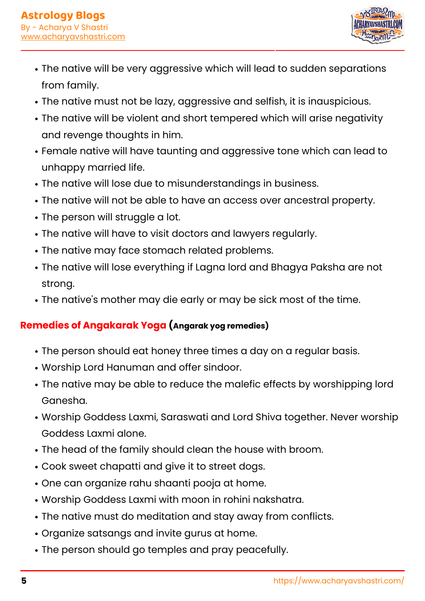

- The native will be very aggressive which will lead to sudden separations from family.
- The native must not be lazy, aggressive and selfish, it is inauspicious.
- The native will be violent and short tempered which will arise negativity and revenge thoughts in him.
- Female native will have taunting and aggressive tone which can lead to unhappy married life.
- The native will lose due to misunderstandings in business.
- The native will not be able to have an access over ancestral property.
- The person will struggle a lot.
- The native will have to visit doctors and lawyers regularly.
- The native may face stomach related problems.
- The native will lose everything if Lagna lord and Bhagya Paksha are not strong.
- The native's mother may die early or may be sick most of the time.

## **Remedies of Angakarak Yoga (Angarak yog remedies)**

- The person should eat honey three times a day on a regular basis.
- Worship Lord Hanuman and offer sindoor.
- The native may be able to reduce the malefic effects by worshipping lord Ganesha.
- Worship Goddess Laxmi, Saraswati and Lord Shiva together. Never worship Goddess Laxmi alone.
- The head of the family should clean the house with broom.
- Cook sweet chapatti and give it to street dogs.
- One can organize rahu shaanti pooja at home.
- Worship Goddess Laxmi with moon in rohini nakshatra.
- The native must do meditation and stay away from conflicts.
- Organize satsangs and invite gurus at home.
- The person should go temples and pray peacefully.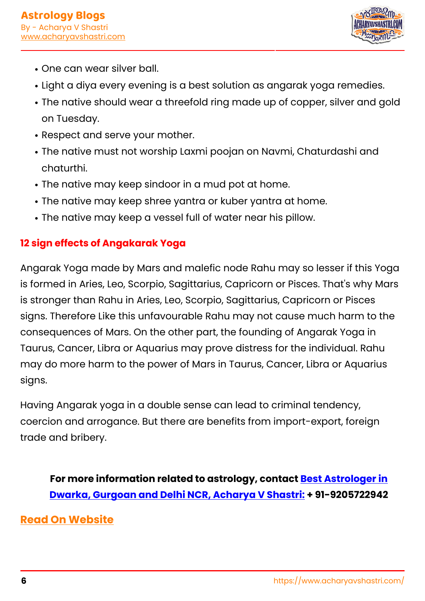

- One can wear silver ball.
- Light a diya every evening is a best solution as angarak yoga remedies.
- The native should wear a threefold ring made up of copper, silver and gold on Tuesday.
- Respect and serve your mother.
- The native must not worship Laxmi poojan on Navmi, Chaturdashi and chaturthi.
- The native may keep sindoor in a mud pot at home.
- The native may keep shree yantra or kuber yantra at home.
- The native may keep a vessel full of water near his pillow.

### **12 sign effects of Angakarak Yoga**

Angarak Yoga made by Mars and malefic node Rahu may so lesser if this Yoga is formed in Aries, Leo, Scorpio, Sagittarius, Capricorn or Pisces. That's why Mars is stronger than Rahu in Aries, Leo, Scorpio, Sagittarius, Capricorn or Pisces signs. Therefore Like this unfavourable Rahu may not cause much harm to the consequences of Mars. On the other part, the founding of Angarak Yoga in Taurus, Cancer, Libra or Aquarius may prove distress for the individual. Rahu may do more harm to the power of Mars in Taurus, Cancer, Libra or Aquarius signs.

Having Angarak yoga in a double sense can lead to criminal tendency, coercion and arrogance. But there are benefits from import-export, foreign trade and bribery.

**For more information related to astrology, contact [Best Astrologer in](https://www.acharyavshastri.com/about-us/) [Dwarka, Gurgoan and Delhi NCR, Acharya V Shastri:](https://www.acharyavshastri.com/about-us/) + 91-9205722942**

## **[Read On Website](https://www.acharyavshastri.com/blog/angarak-yog-effects-solutions-remedies-acharyavshastri/)**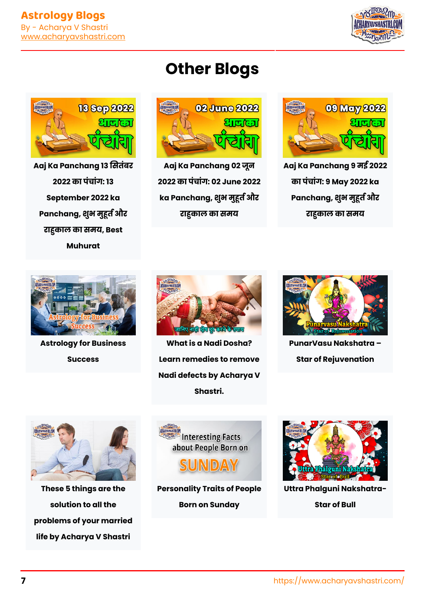

# **Other Blogs**



**[Aaj Ka Panchang 9 मई 2022](https://www.acharyavshastri.com/blog/panchang-todays-hindi-today-panchang-9-may-2022-aaj-ka-panchang-shubh-samay/) [का पंचांग: 9 May 2022 ka](https://www.acharyavshastri.com/blog/panchang-todays-hindi-today-panchang-9-may-2022-aaj-ka-panchang-shubh-samay/)** Panchang, शुभ मुहूर्त और **[राकाल का समय](https://www.acharyavshastri.com/blog/panchang-todays-hindi-today-panchang-9-may-2022-aaj-ka-panchang-shubh-samay/)**



**[Aaj Ka Panchang 02 जून](https://www.acharyavshastri.com/blog/panchang-todays-hindi-today-panchang-02-june-2022-aaj-ka-panchang-shubh-samay/) [2022 का पंचांग: 02 June 2022](https://www.acharyavshastri.com/blog/panchang-todays-hindi-today-panchang-02-june-2022-aaj-ka-panchang-shubh-samay/)** ka Panchang, शुभ मुहूर्त और **[राकाल का समय](https://www.acharyavshastri.com/blog/panchang-todays-hindi-today-panchang-02-june-2022-aaj-ka-panchang-shubh-samay/)**



**[Aaj Ka Panchang 13 सतंबर](https://www.acharyavshastri.com/blog/panchang-todays-hindi-today-panchang-13-september-2022-aaj-ka-panchang-shubh-samay/) [2022 का पंचांग: 13](https://www.acharyavshastri.com/blog/panchang-todays-hindi-today-panchang-13-september-2022-aaj-ka-panchang-shubh-samay/) [September 2022 ka](https://www.acharyavshastri.com/blog/panchang-todays-hindi-today-panchang-13-september-2022-aaj-ka-panchang-shubh-samay/)** Panchang, शुभ मुहूर्त और **[राकाल का समय, Best](https://www.acharyavshastri.com/blog/panchang-todays-hindi-today-panchang-13-september-2022-aaj-ka-panchang-shubh-samay/) [Muhurat](https://www.acharyavshastri.com/blog/panchang-todays-hindi-today-panchang-13-september-2022-aaj-ka-panchang-shubh-samay/)**



**[Astrology for Business](https://www.acharyavshastri.com/blog/astrology-for-business-success/) [Success](https://www.acharyavshastri.com/blog/astrology-for-business-success/)**



**[What is a Nadi Dosha?](https://www.acharyavshastri.com/blog/what-is-nadi-dosh-in-kundali-and-tips-to-rectify-it-acharyavshastri/) [Learn remedies to remove](https://www.acharyavshastri.com/blog/what-is-nadi-dosh-in-kundali-and-tips-to-rectify-it-acharyavshastri/) [Nadi defects by Acharya V](https://www.acharyavshastri.com/blog/what-is-nadi-dosh-in-kundali-and-tips-to-rectify-it-acharyavshastri/) [Shastri.](https://www.acharyavshastri.com/blog/what-is-nadi-dosh-in-kundali-and-tips-to-rectify-it-acharyavshastri/)**



**[PunarVasu Nakshatra –](https://www.acharyavshastri.com/blog/punarvasu-nakshatra-star-of-rejuvenation/) [Star of Rejuvenation](https://www.acharyavshastri.com/blog/punarvasu-nakshatra-star-of-rejuvenation/)**



**[These 5 things are the](https://www.acharyavshastri.com/blog/5-best-solutions-for-your-marriage-problems-acharyavshastri/) [solution to all the](https://www.acharyavshastri.com/blog/5-best-solutions-for-your-marriage-problems-acharyavshastri/) [problems of your married](https://www.acharyavshastri.com/blog/5-best-solutions-for-your-marriage-problems-acharyavshastri/) [life by Acharya V Shastri](https://www.acharyavshastri.com/blog/5-best-solutions-for-your-marriage-problems-acharyavshastri/)**



**[Personality Traits of People](https://www.acharyavshastri.com/blog/people-born-on-sunday-astrology-acharyavshastri/) [Born on Sunday](https://www.acharyavshastri.com/blog/people-born-on-sunday-astrology-acharyavshastri/)**



**[Uttra Phalguni Nakshatra-](https://www.acharyavshastri.com/blog/uttra-phalguni-nakshatra-star-of-bull/)**

**[Star of Bull](https://www.acharyavshastri.com/blog/uttra-phalguni-nakshatra-star-of-bull/)**